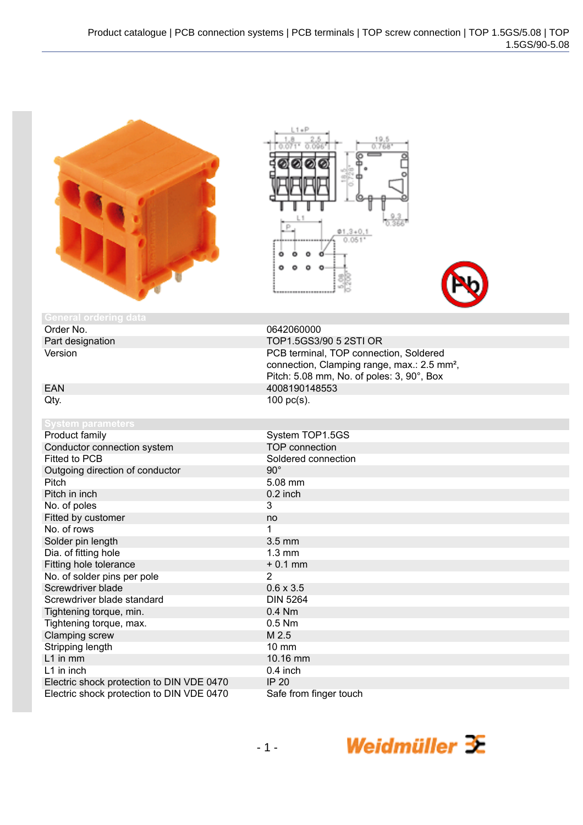|                                           | $1 + P$<br>19.5<br>0.768                                                                                                                       |
|-------------------------------------------|------------------------------------------------------------------------------------------------------------------------------------------------|
| <b>General ordering data</b>              |                                                                                                                                                |
| Order No.                                 | 0642060000                                                                                                                                     |
| Part designation                          | TOP1.5GS3/90 5 2STI OR                                                                                                                         |
| Version                                   | PCB terminal, TOP connection, Soldered<br>connection, Clamping range, max.: 2.5 mm <sup>2</sup> ,<br>Pitch: 5.08 mm, No. of poles: 3, 90°, Box |
| <b>EAN</b>                                | 4008190148553                                                                                                                                  |
| Qty.                                      | 100 pc(s).                                                                                                                                     |
| <b>System parameters</b>                  |                                                                                                                                                |
| Product family                            | System TOP1.5GS                                                                                                                                |
| Conductor connection system               | <b>TOP</b> connection                                                                                                                          |
| <b>Fitted to PCB</b>                      | Soldered connection                                                                                                                            |
| Outgoing direction of conductor           | $90^\circ$                                                                                                                                     |
| Pitch                                     | 5.08 mm                                                                                                                                        |
| Pitch in inch                             | 0.2 inch                                                                                                                                       |
| No. of poles                              | 3                                                                                                                                              |
| Fitted by customer                        | no                                                                                                                                             |
| No. of rows                               | 1                                                                                                                                              |
| Solder pin length                         | $3.5$ mm                                                                                                                                       |
| Dia. of fitting hole                      | $1.3 \text{ mm}$                                                                                                                               |
| Fitting hole tolerance                    | $+0.1$ mm                                                                                                                                      |
| No. of solder pins per pole               | 2                                                                                                                                              |
| Screwdriver blade                         | $0.6 \times 3.5$                                                                                                                               |
| Screwdriver blade standard                | <b>DIN 5264</b>                                                                                                                                |
| Tightening torque, min.                   | 0.4 Nm                                                                                                                                         |
| Tightening torque, max.                   | $0.5$ Nm                                                                                                                                       |
| Clamping screw                            | M 2.5                                                                                                                                          |
| Stripping length                          | <b>10 mm</b>                                                                                                                                   |
| L1 in mm                                  | 10.16 mm                                                                                                                                       |
| L1 in inch                                | 0.4 inch                                                                                                                                       |
| Electric shock protection to DIN VDE 0470 | <b>IP 20</b>                                                                                                                                   |

Electric shock protection to DIN VDE 0470 IP 20<br>Electric shock protection to DIN VDE 0470 Safe from finger touch

Electric shock protection to DIN VDE 0470

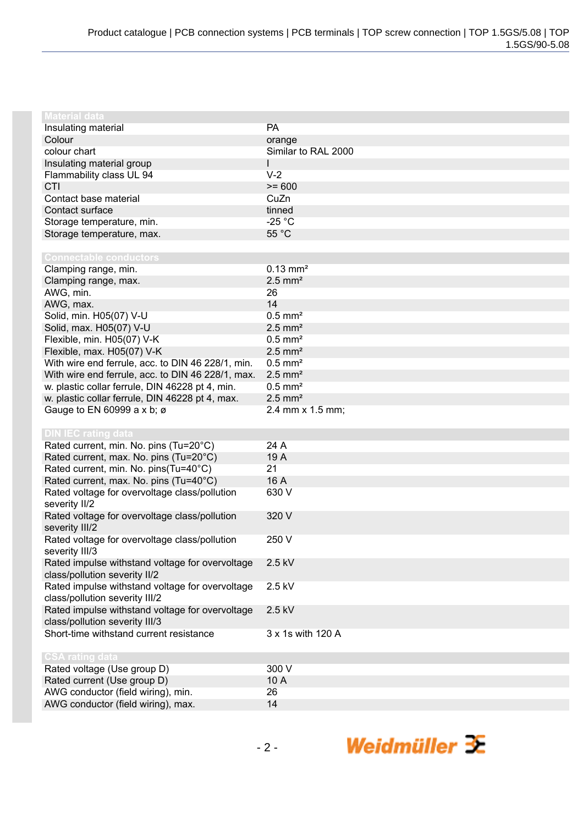| <b>Material data</b>                                            |                       |
|-----------------------------------------------------------------|-----------------------|
| Insulating material                                             | PA                    |
| Colour                                                          | orange                |
| colour chart                                                    | Similar to RAL 2000   |
| Insulating material group                                       | L                     |
| Flammability class UL 94                                        | $V-2$                 |
| CTI                                                             | $>= 600$              |
| Contact base material                                           | CuZn                  |
| Contact surface                                                 | tinned                |
| Storage temperature, min.                                       | $-25 °C$              |
| Storage temperature, max.                                       | 55 °C                 |
|                                                                 |                       |
| <b>Connectable conductors</b>                                   |                       |
| Clamping range, min.                                            | $0.13 \, \text{mm}^2$ |
| Clamping range, max.                                            | $2.5$ mm <sup>2</sup> |
| AWG, min.                                                       | 26                    |
| AWG, max.                                                       | 14                    |
| Solid, min. H05(07) V-U                                         | $0.5$ mm <sup>2</sup> |
| Solid, max. H05(07) V-U                                         | $2.5$ mm <sup>2</sup> |
| Flexible, min. H05(07) V-K                                      | $0.5$ mm <sup>2</sup> |
| Flexible, max. H05(07) V-K                                      | $2.5$ mm <sup>2</sup> |
| With wire end ferrule, acc. to DIN 46 228/1, min.               | $0.5$ mm <sup>2</sup> |
| With wire end ferrule, acc. to DIN 46 228/1, max.               | $2.5$ mm <sup>2</sup> |
| w. plastic collar ferrule, DIN 46228 pt 4, min.                 | $0.5$ mm <sup>2</sup> |
| w. plastic collar ferrule, DIN 46228 pt 4, max.                 | $2.5$ mm <sup>2</sup> |
| Gauge to EN 60999 a x b; ø                                      | 2.4 mm x 1.5 mm;      |
|                                                                 |                       |
| <b>DIN IEC rating data</b>                                      | 24 A                  |
| Rated current, min. No. pins (Tu=20°C)                          |                       |
| Rated current, max. No. pins (Tu=20°C)                          | 19 A                  |
| Rated current, min. No. pins(Tu=40°C)                           | 21<br>16 A            |
| Rated current, max. No. pins (Tu=40°C)                          |                       |
| Rated voltage for overvoltage class/pollution                   | 630 V                 |
| severity II/2<br>Rated voltage for overvoltage class/pollution  | 320 V                 |
|                                                                 |                       |
| severity III/2<br>Rated voltage for overvoltage class/pollution | 250 V                 |
| severity III/3                                                  |                       |
|                                                                 |                       |
| Rated impulse withstand voltage for overvoltage                 | 2.5 kV                |
| class/pollution severity II/2                                   | 2.5 kV                |
| Rated impulse withstand voltage for overvoltage                 |                       |
| class/pollution severity III/2                                  |                       |
| Rated impulse withstand voltage for overvoltage                 | 2.5 kV                |
| class/pollution severity III/3                                  |                       |
| Short-time withstand current resistance                         | 3 x 1s with 120 A     |
|                                                                 |                       |
| <b>CSA rating data</b>                                          | 300 V                 |
| Rated voltage (Use group D)                                     |                       |
| Rated current (Use group D)                                     | 10A<br>26             |
| AWG conductor (field wiring), min.                              |                       |
| AWG conductor (field wiring), max.                              | 14                    |

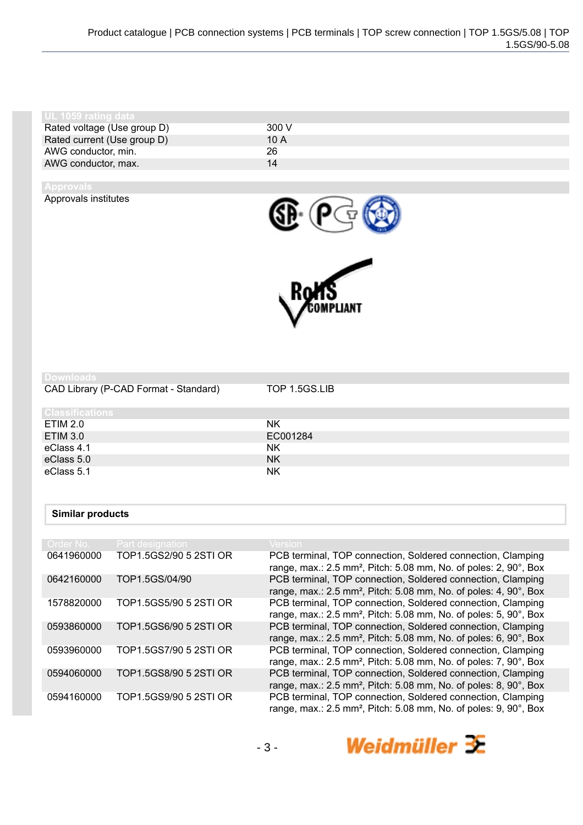| l UL 1059 rating data       |       |
|-----------------------------|-------|
| Rated voltage (Use group D) | 300 V |
| Rated current (Use group D) | 10A   |
| AWG conductor, min.         | 26    |
| AWG conductor, max.         | 14    |
|                             |       |

Approvals institutes





CAD Library (P-CAD Format - Standard) TOP 1.5GS.LIB

| <b>Classifications</b> |           |
|------------------------|-----------|
| <b>ETIM 2.0</b>        | <b>NK</b> |
| <b>ETIM 3.0</b>        | EC001284  |
| eClass 4.1             | <b>NK</b> |
| eClass 5.0             | <b>NK</b> |
| eClass 5.1             | <b>NK</b> |

## **Similar products**

| Order No.  | Part designation       | $\sf{Version}$                                                                                                                                          |
|------------|------------------------|---------------------------------------------------------------------------------------------------------------------------------------------------------|
| 0641960000 | TOP1.5GS2/90 5 2STI OR | PCB terminal, TOP connection, Soldered connection, Clamping<br>range, max.: 2.5 mm <sup>2</sup> , Pitch: 5.08 mm, No. of poles: 2, 90°, Box             |
| 0642160000 | TOP1.5GS/04/90         | PCB terminal, TOP connection, Soldered connection, Clamping<br>range, max.: $2.5$ mm <sup>2</sup> , Pitch: $5.08$ mm, No. of poles: $4, 90^\circ$ , Box |
| 1578820000 | TOP1.5GS5/90 5 2STI OR | PCB terminal, TOP connection, Soldered connection, Clamping<br>range, max.: 2.5 mm <sup>2</sup> , Pitch: 5.08 mm, No. of poles: 5, 90 $^{\circ}$ , Box  |
| 0593860000 | TOP1.5GS6/90 5 2STI OR | PCB terminal, TOP connection, Soldered connection, Clamping<br>range, max.: $2.5$ mm <sup>2</sup> , Pitch: $5.08$ mm, No. of poles: $6, 90^\circ$ , Box |
| 0593960000 | TOP1.5GS7/90 5 2STI OR | PCB terminal, TOP connection, Soldered connection, Clamping<br>range, max.: 2.5 mm <sup>2</sup> , Pitch: 5.08 mm, No. of poles: 7, 90°, Box             |
| 0594060000 | TOP1.5GS8/90 5 2STI OR | PCB terminal, TOP connection, Soldered connection, Clamping<br>range, max.: 2.5 mm <sup>2</sup> , Pitch: 5.08 mm, No. of poles: 8, 90°, Box             |
| 0594160000 | TOP1.5GS9/90 5 2STI OR | PCB terminal, TOP connection, Soldered connection, Clamping<br>range, max.: 2.5 mm <sup>2</sup> , Pitch: 5.08 mm, No. of poles: 9, 90°, Box             |